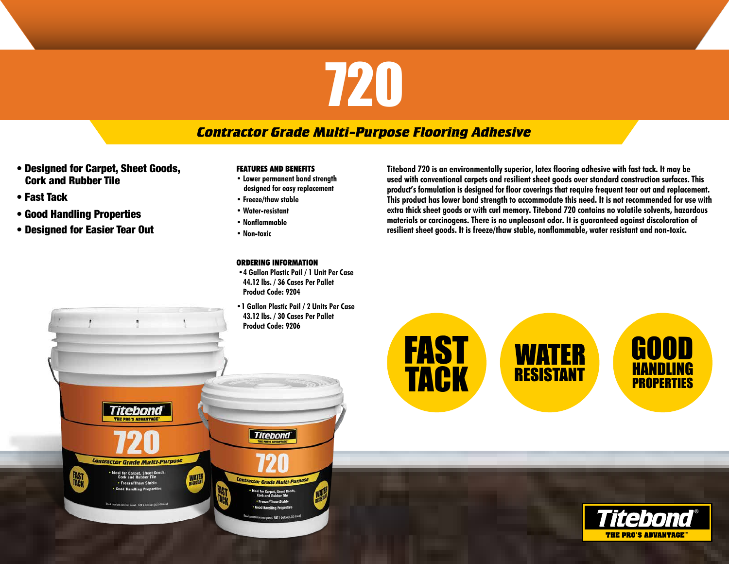# 720

# **Contractor Grade Multi-Purpose Flooring Adhesive**

• Designed for Carpet, Sheet Goods, Cork and Rubber Tile

*itehond* 

**Contractor Grade Multi-Purpose** 

• Ideal for Carpet, Sheet Goods<br>Cork and Bubber Tile

**Freeze/Thaw Stable** 

**WATER** 

- Fast Tack
- Good Handling Properties

**FAST** 

• Designed for Easier Tear Out

#### **FEATURES AND BENEFITS**

- **• Lower permanent bond strength designed for easy replacement**
- **• Freeze/thaw stable**
- **• Water-resistant**
- **• Nonflammable**
- **• Non-toxic**

## **ORDERING INFORMATION**

**Titebond** 

Intractor Grade Multi-Purpose

**Ideal for Carpet, Sheet Good**<br>Cork and Rubber Tile • Freeze/Thaw Stable

- **•4 Gallon Plastic Pail / 1 Unit Per Case 44.12 lbs. / 36 Cases Per Pallet Product Code: 9204**
- **•1 Gallon Plastic Pail / 2 Units Per Case 43.12 lbs. / 30 Cases Per Pallet Product Code: 9206**

**Titebond 720 is an environmentally superior, latex flooring adhesive with fast tack. It may be used with conventional carpets and resilient sheet goods over standard construction surfaces. This product's formulation is designed for floor coverings that require frequent tear out and replacement. This product has lower bond strength to accommodate this need. It is not recommended for use with extra thick sheet goods or with curl memory. Titebond 720 contains no volatile solvents, hazardous materials or carcinogens. There is no unpleasant odor. It is guaranteed against discoloration of resilient sheet goods. It is freeze/thaw stable, nonflammable, water resistant and non-toxic.**